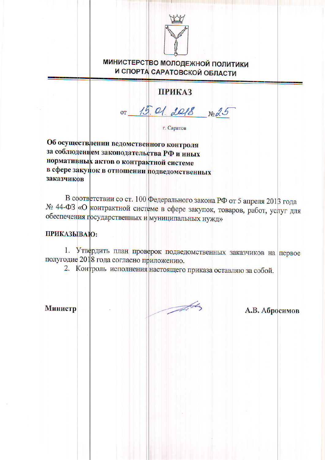

**МИНИСТЕРСТВО МОЛОДЕЖНОЙ ПОЛИТИКИ** И СПОРТА САРАТОВСКОЙ ОБЛАСТИ

## **ПРИКАЗ**

15.01. 2018 No 25  $OT$ 

г. Саратов

Об осуществлении ведомственного контроля за соблюдением законодательства РФ и иных нормативных актов о контрактной системе в сфере закупок в отношении подведомственных заказчиков

В соответствии со ст. 100 Федерального закона РФ от 5 апреля 2013 года № 44-ФЗ «О контрактной системе в сфере закупок, товаров, работ, услуг для обеспечения государственных и муниципальных нужд»

## ПРИКАЗЫВАЮ:

1. Утвердить план проверок подведомственных заказчиков на первое полугодие 2018 года согласно приложению.

2. Контроль исполнения настоящего приказа оставляю за собой.

Министр

 $\frac{1}{\sqrt{2\pi}}\int d^{2}k_{\perp}dk_{\perp}dk_{\perp}dk_{\perp}dk_{\perp}dk_{\perp}dk_{\perp}dk_{\perp}dk_{\perp}dk_{\perp}dk_{\perp}dk_{\perp}dk_{\perp}dk_{\perp}dk_{\perp}dk_{\perp}dk_{\perp}dk_{\perp}dk_{\perp}dk_{\perp}dk_{\perp}dk_{\perp}dk_{\perp}dk_{\perp}dk_{\perp}dk_{\perp}dk_{\perp}dk_{\perp}dk_{\perp}dk_{\perp}dk_{\perp}dk_{\perp}dk_{\perp}dk_{\per$ 

А.В. Абросимов